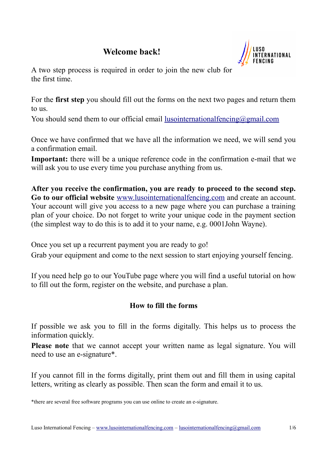# **Welcome back!**



A two step process is required in order to join the new club for the first time.

For the **first step** you should fill out the forms on the next two pages and return them to us.

You should send them to our official email lusointernational fencing  $\omega$  gmail.com

Once we have confirmed that we have all the information we need, we will send you a confirmation email.

**Important:** there will be a unique reference code in the confirmation e-mail that we will ask you to use every time you purchase anything from us.

**After you receive the confirmation, you are ready to proceed to the second step. Go to our official website** [www.lusointernationalfencing.com](http://www.lusointernationalfencing.com/) and create an account. Your account will give you access to a new page where you can purchase a training plan of your choice. Do not forget to write your unique code in the payment section (the simplest way to do this is to add it to your name, e.g. 0001John Wayne).

Once you set up a recurrent payment you are ready to go!

Grab your equipment and come to the next session to start enjoying yourself fencing.

If you need help go to our YouTube page where you will find a useful tutorial on how to fill out the form, register on the website, and purchase a plan.

# **How to fill the forms**

If possible we ask you to fill in the forms digitally. This helps us to process the information quickly.

**Please note** that we cannot accept your written name as legal signature. You will need to use an e-signature\*.

If you cannot fill in the forms digitally, print them out and fill them in using capital letters, writing as clearly as possible. Then scan the form and email it to us.

<sup>\*</sup>there are several free software programs you can use online to create an e-signature.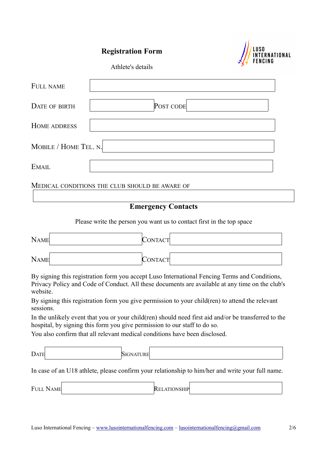# **Registration Form**



Athlete's details

| FULL NAME             |           |  |  |  |  |  |
|-----------------------|-----------|--|--|--|--|--|
| DATE OF BIRTH         | POST CODE |  |  |  |  |  |
| <b>HOME ADDRESS</b>   |           |  |  |  |  |  |
| MOBILE / HOME TEL. N. |           |  |  |  |  |  |
| <b>EMAIL</b>          |           |  |  |  |  |  |

MEDICAL CONDITIONS THE CLUB SHOULD BE AWARE OF

# **Emergency Contacts**

Please write the person you want us to contact first in the top space

| <b>NAME</b>                                                                | CONTACT                                                                                                                                                                                          |
|----------------------------------------------------------------------------|--------------------------------------------------------------------------------------------------------------------------------------------------------------------------------------------------|
| <b>NAME</b>                                                                | CONTACT                                                                                                                                                                                          |
| website.                                                                   | By signing this registration form you accept Luso International Fencing Terms and Conditions,<br>Privacy Policy and Code of Conduct. All these documents are available at any time on the club's |
| sessions.                                                                  | By signing this registration form you give permission to your child (ren) to attend the relevant                                                                                                 |
| hospital, by signing this form you give permission to our staff to do so.  | In the unlikely event that you or your child(ren) should need first aid and/or be transferred to the                                                                                             |
| You also confirm that all relevant medical conditions have been disclosed. |                                                                                                                                                                                                  |
| <b>DATE</b><br><b>SIGNATURE</b>                                            |                                                                                                                                                                                                  |
|                                                                            | In case of an U18 athlete, please confirm your relationship to him/her and write your full name.                                                                                                 |
| <b>FULL NAME</b>                                                           | <b>RELATIONSHIP</b>                                                                                                                                                                              |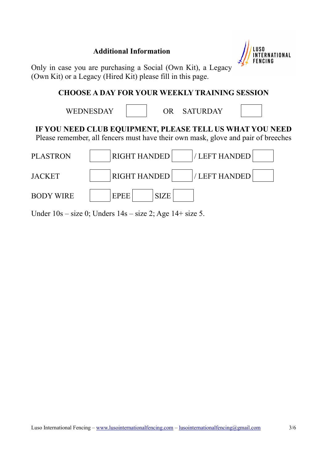# **Additional Information**



Only in case you are purchasing a Social (Own Kit), a Legacy (Own Kit) or a Legacy (Hired Kit) please fill in this page.

# **CHOOSE A DAY FOR YOUR WEEKLY TRAINING SESSION**

|                  | <b>WEDNESDAY</b>                                                                                                                              | OR.         | <b>SATURDAY</b> |  |
|------------------|-----------------------------------------------------------------------------------------------------------------------------------------------|-------------|-----------------|--|
|                  | IF YOU NEED CLUB EQUIPMENT, PLEASE TELL US WHAT YOU NEED<br>Please remember, all fencers must have their own mask, glove and pair of breeches |             |                 |  |
| PLASTRON         | <b>RIGHT HANDED</b>                                                                                                                           |             | / LEFT HANDED   |  |
| JACKET           | <b>RIGHT HANDED</b>                                                                                                                           |             | / LEFT HANDED   |  |
| <b>BODY WIRE</b> | <b>EPEE</b>                                                                                                                                   | <b>SIZE</b> |                 |  |

Under  $10s - size 0$ ; Unders  $14s - size 2$ ; Age  $14 + size 5$ .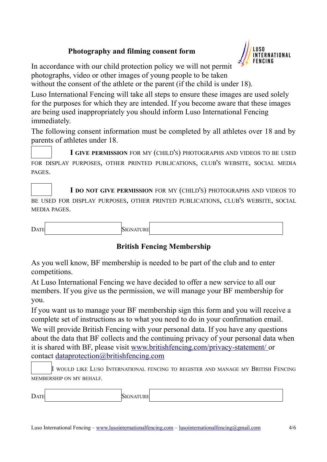# **Photography and filming consent form**



In accordance with our child protection policy we will not permit photographs, video or other images of young people to be taken without the consent of the athlete or the parent (if the child is under 18).

Luso International Fencing will take all steps to ensure these images are used solely for the purposes for which they are intended. If you become aware that these images are being used inappropriately you should inform Luso International Fencing immediately.

The following consent information must be completed by all athletes over 18 and by parents of athletes under 18.

**I GIVE PERMISSION** FOR MY (CHILD'S) PHOTOGRAPHS AND VIDEOS TO BE USED FOR DISPLAY PURPOSES, OTHER PRINTED PUBLICATIONS, CLUB'S WEBSITE, SOCIAL MEDIA PAGES.

**I DO NOT GIVE PERMISSION** FOR MY (CHILD'S) PHOTOGRAPHS AND VIDEOS TO BE USED FOR DISPLAY PURPOSES, OTHER PRINTED PUBLICATIONS, CLUB'S WEBSITE, SOCIAL MEDIA PAGES.

DATE SIGNATURE

# **British Fencing Membership**

As you well know, BF membership is needed to be part of the club and to enter competitions.

At Luso International Fencing we have decided to offer a new service to all our members. If you give us the permission, we will manage your BF membership for you.

If you want us to manage your BF membership sign this form and you will receive a complete set of instructions as to what you need to do in your confirmation email.

We will provide British Fencing with your personal data. If you have any questions about the data that BF collects and the continuing privacy of your personal data when it is shared with BF, please visit www.britishfencing.com/privacy-statement/ or contact dataprotection@britishfencing.com

I WOULD LIKE LUSO INTERNATIONAL FENCING TO REGISTER AND MANAGE MY BRITISH FENCING MEMBERSHIP ON MY BEHALF.

| - |  |  |
|---|--|--|
|   |  |  |
|   |  |  |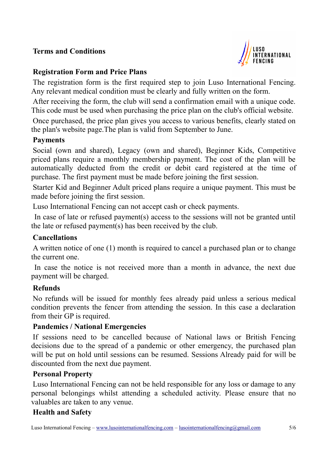# **Terms and Conditions**



# **Registration Form and Price Plans**

The registration form is the first required step to join Luso International Fencing. Any relevant medical condition must be clearly and fully written on the form.

After receiving the form, the club will send a confirmation email with a unique code. This code must be used when purchasing the price plan on the club's official website.

Once purchased, the price plan gives you access to various benefits, clearly stated on the plan's website page.The plan is valid from September to June.

#### **Payments**

Social (own and shared), Legacy (own and shared), Beginner Kids, Competitive priced plans require a monthly membership payment. The cost of the plan will be automatically deducted from the credit or debit card registered at the time of purchase. The first payment must be made before joining the first session.

Starter Kid and Beginner Adult priced plans require a unique payment. This must be made before joining the first session.

Luso International Fencing can not accept cash or check payments.

In case of late or refused payment(s) access to the sessions will not be granted until the late or refused payment(s) has been received by the club.

# **Cancellations**

A written notice of one (1) month is required to cancel a purchased plan or to change the current one.

In case the notice is not received more than a month in advance, the next due payment will be charged.

# **Refunds**

No refunds will be issued for monthly fees already paid unless a serious medical condition prevents the fencer from attending the session. In this case a declaration from their GP is required.

# **Pandemics / National Emergencies**

If sessions need to be cancelled because of National laws or British Fencing decisions due to the spread of a pandemic or other emergency, the purchased plan will be put on hold until sessions can be resumed. Sessions Already paid for will be discounted from the next due payment.

# **Personal Property**

Luso International Fencing can not be held responsible for any loss or damage to any personal belongings whilst attending a scheduled activity. Please ensure that no valuables are taken to any venue.

# **Health and Safety**